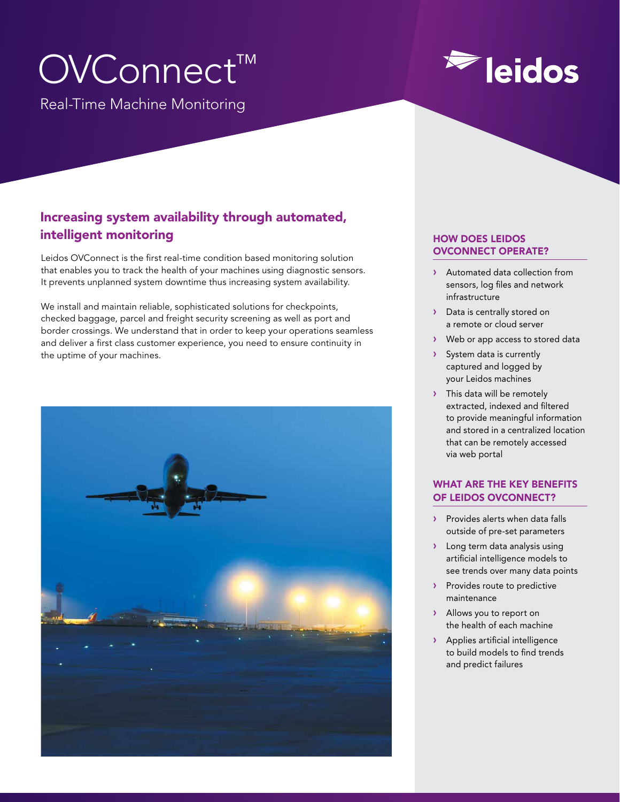# OVConnect™

Real-Time Machine Monitoring

# **Eidos**

## Increasing system availability through automated, intelligent monitoring

Leidos OVConnect is the first real-time condition based monitoring solution that enables you to track the health of your machines using diagnostic sensors. It prevents unplanned system downtime thus increasing system availability.

We install and maintain reliable, sophisticated solutions for checkpoints, checked baggage, parcel and freight security screening as well as port and border crossings. We understand that in order to keep your operations seamless and deliver a first class customer experience, you need to ensure continuity in the uptime of your machines.



#### HOW DOES LEIDOS OVCONNECT OPERATE?

- › Automated data collection from sensors, log files and network infrastructure
- > Data is centrally stored on a remote or cloud server
- › Web or app access to stored data
- › System data is currently captured and logged by your Leidos machines
- > This data will be remotely extracted, indexed and filtered to provide meaningful information and stored in a centralized location that can be remotely accessed via web portal

### WHAT ARE THE KEY BENEFITS OF LEIDOS OVCONNECT?

- > Provides alerts when data falls outside of pre-set parameters
- › Long term data analysis using artificial intelligence models to see trends over many data points
- > Provides route to predictive maintenance
- › Allows you to report on the health of each machine
- › Applies artificial intelligence to build models to find trends and predict failures